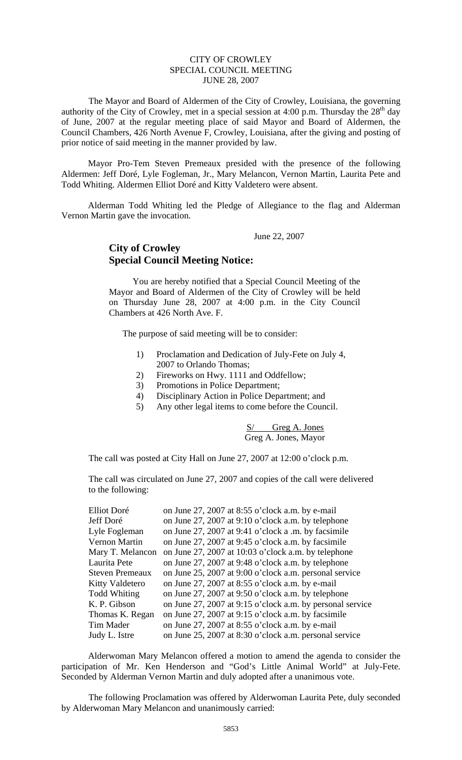## CITY OF CROWLEY SPECIAL COUNCIL MEETING JUNE 28, 2007

The Mayor and Board of Aldermen of the City of Crowley, Louisiana, the governing authority of the City of Crowley, met in a special session at 4:00 p.m. Thursday the  $28<sup>th</sup>$  day of June, 2007 at the regular meeting place of said Mayor and Board of Aldermen, the Council Chambers, 426 North Avenue F, Crowley, Louisiana, after the giving and posting of prior notice of said meeting in the manner provided by law.

 Mayor Pro-Tem Steven Premeaux presided with the presence of the following Aldermen: Jeff Doré, Lyle Fogleman, Jr., Mary Melancon, Vernon Martin, Laurita Pete and Todd Whiting. Aldermen Elliot Doré and Kitty Valdetero were absent.

 Alderman Todd Whiting led the Pledge of Allegiance to the flag and Alderman Vernon Martin gave the invocation.

June 22, 2007

## **City of Crowley Special Council Meeting Notice:**

 You are hereby notified that a Special Council Meeting of the Mayor and Board of Aldermen of the City of Crowley will be held on Thursday June 28, 2007 at 4:00 p.m. in the City Council Chambers at 426 North Ave. F.

The purpose of said meeting will be to consider:

- 1) Proclamation and Dedication of July-Fete on July 4, 2007 to Orlando Thomas;
- 2) Fireworks on Hwy. 1111 and Oddfellow;
- 3) Promotions in Police Department;
- 4) Disciplinary Action in Police Department; and
- 5) Any other legal items to come before the Council.

## S/ Greg A. Jones Greg A. Jones, Mayor

The call was posted at City Hall on June 27, 2007 at 12:00 o'clock p.m.

The call was circulated on June 27, 2007 and copies of the call were delivered to the following:

| Elliot Doré            | on June 27, 2007 at 8:55 o'clock a.m. by e-mail           |
|------------------------|-----------------------------------------------------------|
| Jeff Doré              | on June 27, 2007 at 9:10 o'clock a.m. by telephone        |
| Lyle Fogleman          | on June 27, 2007 at 9:41 o'clock a .m. by facsimile       |
| Vernon Martin          | on June 27, 2007 at 9:45 o'clock a.m. by facsimile        |
| Mary T. Melancon       | on June 27, 2007 at 10:03 o'clock a.m. by telephone       |
| Laurita Pete           | on June 27, 2007 at 9:48 o'clock a.m. by telephone        |
| <b>Steven Premeaux</b> | on June 25, 2007 at 9:00 o'clock a.m. personal service    |
| <b>Kitty Valdetero</b> | on June 27, 2007 at 8:55 o'clock a.m. by e-mail           |
| Todd Whiting           | on June 27, 2007 at 9:50 o'clock a.m. by telephone        |
| K. P. Gibson           | on June 27, 2007 at 9:15 o'clock a.m. by personal service |
| Thomas K. Regan        | on June 27, 2007 at 9:15 o'clock a.m. by facsimile        |
| Tim Mader              | on June 27, 2007 at 8:55 o'clock a.m. by e-mail           |
| Judy L. Istre          | on June 25, 2007 at 8:30 o'clock a.m. personal service    |

 Alderwoman Mary Melancon offered a motion to amend the agenda to consider the participation of Mr. Ken Henderson and "God's Little Animal World" at July-Fete. Seconded by Alderman Vernon Martin and duly adopted after a unanimous vote.

The following Proclamation was offered by Alderwoman Laurita Pete, duly seconded by Alderwoman Mary Melancon and unanimously carried: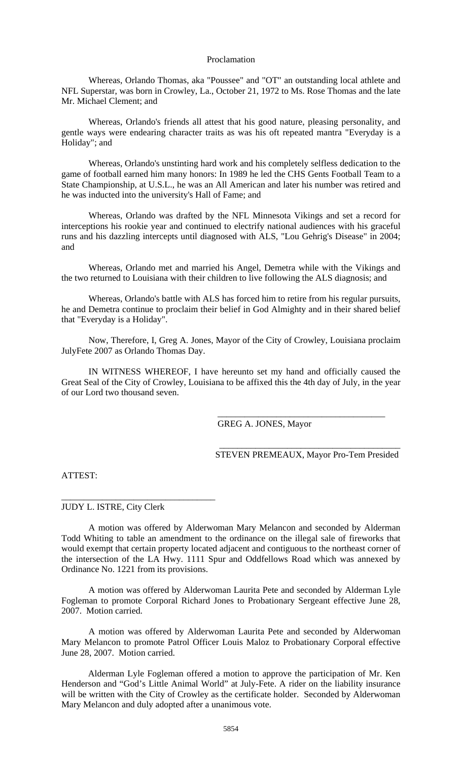## Proclamation

Whereas, Orlando Thomas, aka "Poussee" and "OT" an outstanding local athlete and NFL Superstar, was born in Crowley, La., October 21, 1972 to Ms. Rose Thomas and the late Mr. Michael Clement; and

Whereas, Orlando's friends all attest that his good nature, pleasing personality, and gentle ways were endearing character traits as was his oft repeated mantra "Everyday is a Holiday"; and

Whereas, Orlando's unstinting hard work and his completely selfless dedication to the game of football earned him many honors: In 1989 he led the CHS Gents Football Team to a State Championship, at U.S.L., he was an All American and later his number was retired and he was inducted into the university's Hall of Fame; and

Whereas, Orlando was drafted by the NFL Minnesota Vikings and set a record for interceptions his rookie year and continued to electrify national audiences with his graceful runs and his dazzling intercepts until diagnosed with ALS, "Lou Gehrig's Disease" in 2004; and

Whereas, Orlando met and married his Angel, Demetra while with the Vikings and the two returned to Louisiana with their children to live following the ALS diagnosis; and

Whereas, Orlando's battle with ALS has forced him to retire from his regular pursuits, he and Demetra continue to proclaim their belief in God Almighty and in their shared belief that "Everyday is a Holiday".

Now, Therefore, I, Greg A. Jones, Mayor of the City of Crowley, Louisiana proclaim JulyFete 2007 as Orlando Thomas Day.

IN WITNESS WHEREOF, I have hereunto set my hand and officially caused the Great Seal of the City of Crowley, Louisiana to be affixed this the 4th day of July, in the year of our Lord two thousand seven.

GREG A. JONES, Mayor

\_\_\_\_\_\_\_\_\_\_\_\_\_\_\_\_\_\_\_\_\_\_\_\_\_\_\_\_\_\_\_\_\_\_\_\_\_\_\_\_ STEVEN PREMEAUX, Mayor Pro-Tem Presided

\_\_\_\_\_\_\_\_\_\_\_\_\_\_\_\_\_\_\_\_\_\_\_\_\_\_\_\_\_\_\_\_\_\_\_\_\_

ATTEST:

JUDY L. ISTRE, City Clerk

\_\_\_\_\_\_\_\_\_\_\_\_\_\_\_\_\_\_\_\_\_\_\_\_\_\_\_\_\_\_\_\_\_\_

 A motion was offered by Alderwoman Mary Melancon and seconded by Alderman Todd Whiting to table an amendment to the ordinance on the illegal sale of fireworks that would exempt that certain property located adjacent and contiguous to the northeast corner of the intersection of the LA Hwy. 1111 Spur and Oddfellows Road which was annexed by Ordinance No. 1221 from its provisions.

 A motion was offered by Alderwoman Laurita Pete and seconded by Alderman Lyle Fogleman to promote Corporal Richard Jones to Probationary Sergeant effective June 28, 2007. Motion carried.

A motion was offered by Alderwoman Laurita Pete and seconded by Alderwoman Mary Melancon to promote Patrol Officer Louis Maloz to Probationary Corporal effective June 28, 2007. Motion carried.

 Alderman Lyle Fogleman offered a motion to approve the participation of Mr. Ken Henderson and "God's Little Animal World" at July-Fete. A rider on the liability insurance will be written with the City of Crowley as the certificate holder. Seconded by Alderwoman Mary Melancon and duly adopted after a unanimous vote.